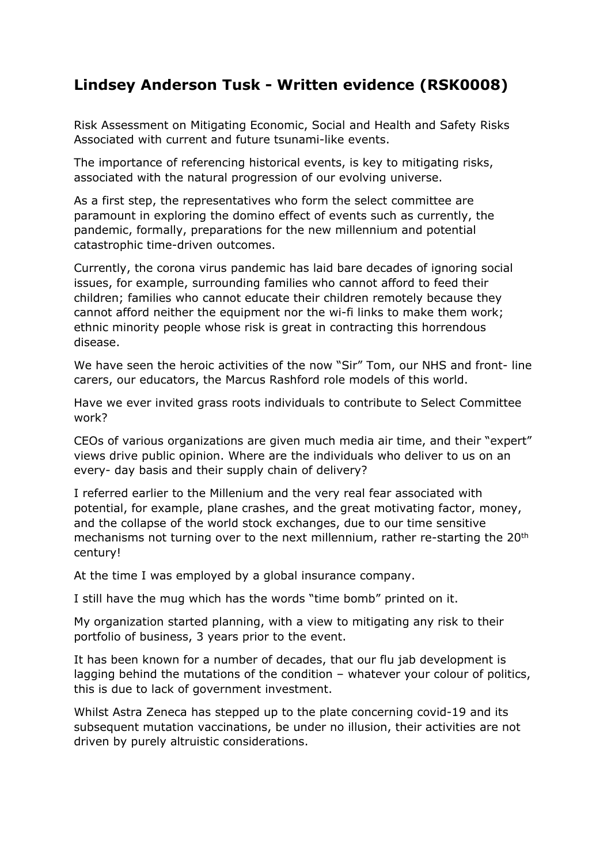## **Lindsey Anderson Tusk - Written evidence (RSK0008)**

Risk Assessment on Mitigating Economic, Social and Health and Safety Risks Associated with current and future tsunami-like events.

The importance of referencing historical events, is key to mitigating risks, associated with the natural progression of our evolving universe.

As a first step, the representatives who form the select committee are paramount in exploring the domino effect of events such as currently, the pandemic, formally, preparations for the new millennium and potential catastrophic time-driven outcomes.

Currently, the corona virus pandemic has laid bare decades of ignoring social issues, for example, surrounding families who cannot afford to feed their children; families who cannot educate their children remotely because they cannot afford neither the equipment nor the wi-fi links to make them work; ethnic minority people whose risk is great in contracting this horrendous disease.

We have seen the heroic activities of the now "Sir" Tom, our NHS and front- line carers, our educators, the Marcus Rashford role models of this world.

Have we ever invited grass roots individuals to contribute to Select Committee work?

CEOs of various organizations are given much media air time, and their "expert" views drive public opinion. Where are the individuals who deliver to us on an every- day basis and their supply chain of delivery?

I referred earlier to the Millenium and the very real fear associated with potential, for example, plane crashes, and the great motivating factor, money, and the collapse of the world stock exchanges, due to our time sensitive mechanisms not turning over to the next millennium, rather re-starting the 20<sup>th</sup> century!

At the time I was employed by a global insurance company.

I still have the mug which has the words "time bomb" printed on it.

My organization started planning, with a view to mitigating any risk to their portfolio of business, 3 years prior to the event.

It has been known for a number of decades, that our flu jab development is lagging behind the mutations of the condition – whatever your colour of politics, this is due to lack of government investment.

Whilst Astra Zeneca has stepped up to the plate concerning covid-19 and its subsequent mutation vaccinations, be under no illusion, their activities are not driven by purely altruistic considerations.